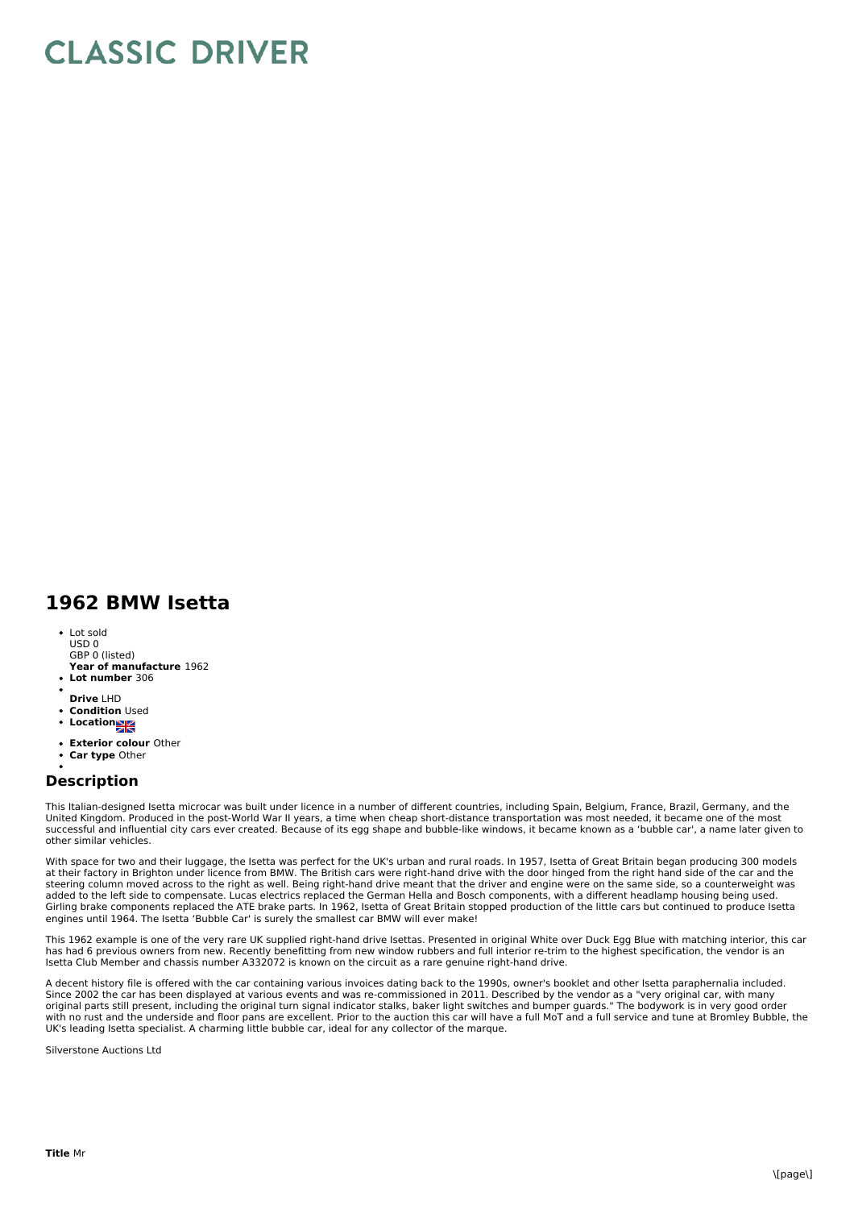## **CLASSIC DRIVER**

## **1962 BMW Isetta**

- Lot sold USD 0 GBP 0 (listed)
- **Year of manufacture** 1962 **Lot number** 306
- 
- **Drive** LHD
- **Condition** Used
- **•** Location
- **Exterior colour** Other
- **Car type** Other

## **Description**

This Italian-designed Isetta microcar was built under licence in a number of different countries, including Spain, Belgium, France, Brazil, Germany, and the United Kingdom. Produced in the post-World War II years, a time when cheap short-distance transportation was most needed, it became one of the most successful and influential city cars ever created. Because of its egg shape and bubble-like windows, it became known as a 'bubble car', a name later given to other similar vehicles.

With space for two and their luggage, the Isetta was perfect for the UK's urban and rural roads. In 1957, Isetta of Great Britain began producing 300 models<br>at their factory in Brighton under licence from BMW. The British steering column moved across to the right as well. Being right-hand drive meant that the driver and engine were on the same side, so a counterweight was<br>added to the left side to compensate. Lucas electrics replaced the Ge Girling brake components replaced the ATE brake parts. In 1962, Isetta of Great Britain stopped production of the little cars but continued to produce Isetta engines until 1964. The Isetta 'Bubble Car' is surely the smallest car BMW will ever make!

This 1962 example is one of the very rare UK supplied right-hand drive Isettas. Presented in original White over Duck Egg Blue with matching interior, this car has had 6 previous owners from new. Recently benefitting from new window rubbers and full interior re-trim to the highest specification, the vendor is an Isetta Club Member and chassis number A332072 is known on the circuit as a rare genuine right-hand drive.

A decent history file is offered with the car containing various invoices dating back to the 1990s, owner's booklet and other Isetta paraphernalia included. Since 2002 the car has been displayed at various events and was re-commissioned in 2011. Described by the vendor as a "very original car, with many<br>original parts still present, including the original turn signal indicator with no rust and the underside and floor pans are excellent. Prior to the auction this car will have a full MoT and a full service and tune at Bromley Bubble, the UK's leading Isetta specialist. A charming little bubble car, ideal for any collector of the marque.

Silverstone Auctions Ltd